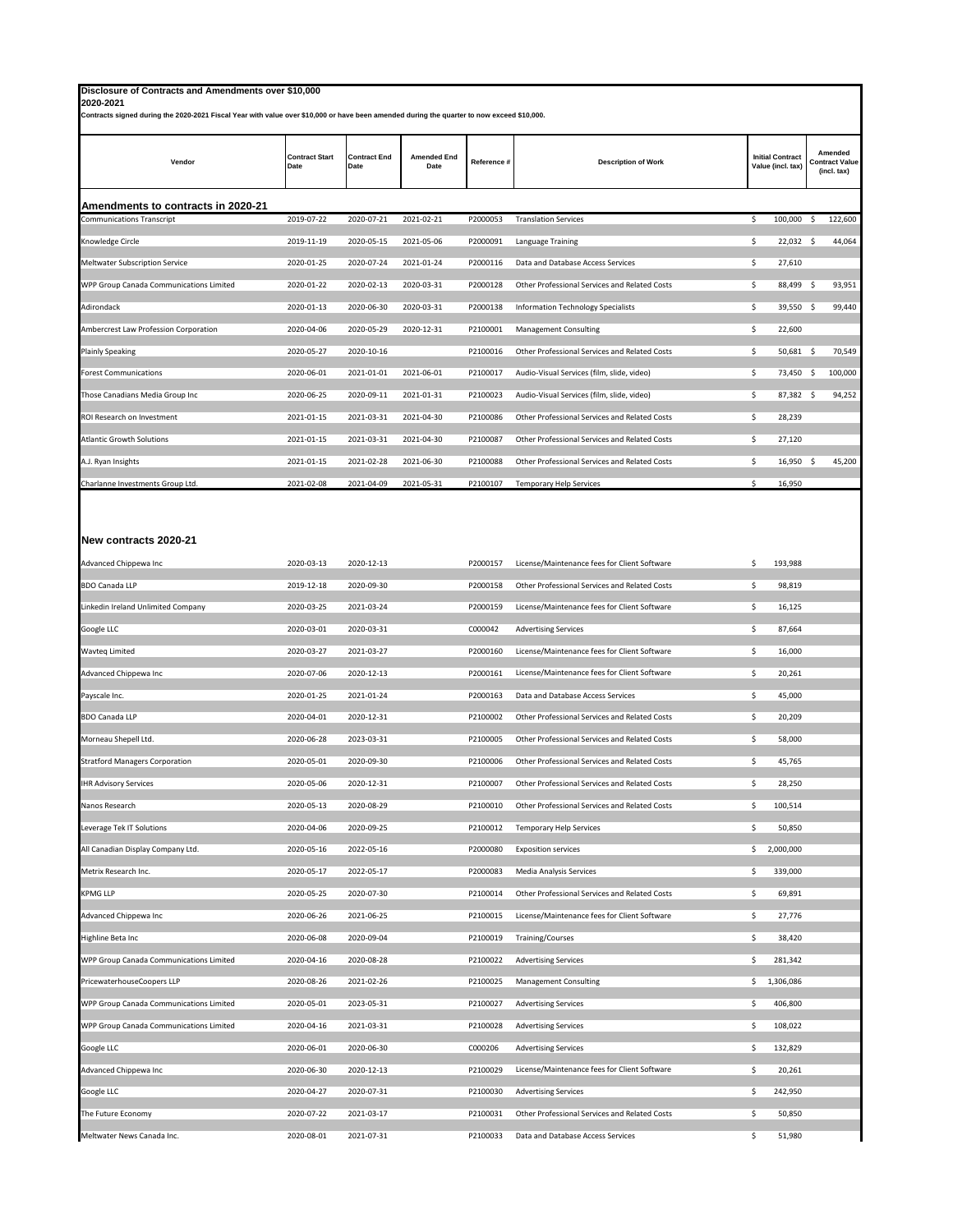| Disclosure of Contracts and Amendments over \$10,000<br>2020-2021                                                                          |                               |                             |                            |             |                                               |                                              |                                                 |
|--------------------------------------------------------------------------------------------------------------------------------------------|-------------------------------|-----------------------------|----------------------------|-------------|-----------------------------------------------|----------------------------------------------|-------------------------------------------------|
| Contracts signed during the 2020-2021 Fiscal Year with value over \$10,000 or have been amended during the quarter to now exceed \$10,000. |                               |                             |                            |             |                                               |                                              |                                                 |
| Vendor                                                                                                                                     | <b>Contract Start</b><br>Date | <b>Contract End</b><br>Date | <b>Amended End</b><br>Date | Reference # | <b>Description of Work</b>                    | <b>Initial Contract</b><br>Value (incl. tax) | Amended<br><b>Contract Value</b><br>(incl. tax) |
| Amendments to contracts in 2020-21                                                                                                         |                               |                             |                            |             |                                               |                                              |                                                 |
| <b>Communications Transcript</b>                                                                                                           | 2019-07-22                    | 2020-07-21                  | 2021-02-21                 | P2000053    | <b>Translation Services</b>                   | 100,000 \$<br>\$                             | 122,600                                         |
| Knowledge Circle                                                                                                                           | 2019-11-19                    | 2020-05-15                  | 2021-05-06                 | P2000091    | Language Training                             | \$<br>22,032 \$                              | 44,064                                          |
| Meltwater Subscription Service                                                                                                             | 2020-01-25                    | 2020-07-24                  | 2021-01-24                 | P2000116    | Data and Database Access Services             | \$<br>27,610                                 |                                                 |
| WPP Group Canada Communications Limited                                                                                                    | 2020-01-22                    | 2020-02-13                  | 2020-03-31                 | P2000128    | Other Professional Services and Related Costs | \$<br>88,499 \$                              | 93,951                                          |
| Adirondack                                                                                                                                 | 2020-01-13                    | 2020-06-30                  | 2020-03-31                 | P2000138    | Information Technology Specialists            | \$<br>39,550 \$                              | 99,440                                          |
| Ambercrest Law Profession Corporation                                                                                                      | 2020-04-06                    | 2020-05-29                  | 2020-12-31                 | P2100001    | <b>Management Consulting</b>                  | \$<br>22,600                                 |                                                 |
| <b>Plainly Speaking</b>                                                                                                                    | 2020-05-27                    | 2020-10-16                  |                            | P2100016    | Other Professional Services and Related Costs | \$<br>50,681 \$                              | 70,549                                          |
| <b>Forest Communications</b>                                                                                                               | 2020-06-01                    | 2021-01-01                  | 2021-06-01                 | P2100017    | Audio-Visual Services (film, slide, video)    | \$<br>73,450 \$                              | 100,000                                         |
| Those Canadians Media Group Inc                                                                                                            | 2020-06-25                    | 2020-09-11                  | 2021-01-31                 | P2100023    | Audio-Visual Services (film, slide, video)    | \$<br>$87,382 \quad $$                       | 94,252                                          |
| ROI Research on Investment                                                                                                                 | 2021-01-15                    | 2021-03-31                  | 2021-04-30                 | P2100086    | Other Professional Services and Related Costs | \$<br>28,239                                 |                                                 |
| <b>Atlantic Growth Solutions</b>                                                                                                           | 2021-01-15                    | 2021-03-31                  | 2021-04-30                 | P2100087    | Other Professional Services and Related Costs | \$<br>27,120                                 |                                                 |
| A.J. Ryan Insights                                                                                                                         | 2021-01-15                    | 2021-02-28                  | 2021-06-30                 | P2100088    | Other Professional Services and Related Costs | \$<br>$16,950$ \$                            | 45,200                                          |
| Charlanne Investments Group Ltd.                                                                                                           | 2021-02-08                    | 2021-04-09                  | 2021-05-31                 | P2100107    | Temporary Help Services                       | \$<br>16,950                                 |                                                 |
|                                                                                                                                            |                               |                             |                            |             |                                               |                                              |                                                 |
|                                                                                                                                            |                               |                             |                            |             |                                               |                                              |                                                 |
| New contracts 2020-21                                                                                                                      |                               |                             |                            |             |                                               |                                              |                                                 |
| Advanced Chippewa Inc                                                                                                                      | 2020-03-13                    | 2020-12-13                  |                            | P2000157    | License/Maintenance fees for Client Software  | \$<br>193,988                                |                                                 |
| <b>BDO Canada LLP</b>                                                                                                                      | 2019-12-18                    | 2020-09-30                  |                            | P2000158    | Other Professional Services and Related Costs | 98,819<br>\$                                 |                                                 |
| Linkedin Ireland Unlimited Company                                                                                                         | 2020-03-25                    | 2021-03-24                  |                            | P2000159    | License/Maintenance fees for Client Software  | \$<br>16,125                                 |                                                 |
| Google LLC                                                                                                                                 | 2020-03-01                    | 2020-03-31                  |                            | C000042     | <b>Advertising Services</b>                   | \$<br>87,664                                 |                                                 |
| <b>Wavteq Limited</b>                                                                                                                      | 2020-03-27                    | 2021-03-27                  |                            | P2000160    | License/Maintenance fees for Client Software  | 16,000<br>\$                                 |                                                 |
| Advanced Chippewa Inc                                                                                                                      | 2020-07-06                    | 2020-12-13                  |                            | P2000161    | License/Maintenance fees for Client Software  | \$<br>20,261                                 |                                                 |
| Payscale Inc.                                                                                                                              | 2020-01-25                    | 2021-01-24                  |                            | P2000163    | Data and Database Access Services             | \$<br>45,000                                 |                                                 |
| <b>BDO Canada LLP</b>                                                                                                                      | 2020-04-01                    | 2020-12-31                  |                            | P2100002    | Other Professional Services and Related Costs | 20,209<br>\$                                 |                                                 |
| Morneau Shepell Ltd.                                                                                                                       | 2020-06-28                    | 2023-03-31                  |                            | P2100005    | Other Professional Services and Related Costs | \$<br>58,000                                 |                                                 |
| <b>Stratford Managers Corporation</b>                                                                                                      | 2020-05-01                    | 2020-09-30                  |                            | P2100006    | Other Professional Services and Related Costs | \$<br>45,765                                 |                                                 |
| <b>IHR Advisory Services</b>                                                                                                               | 2020-05-06                    | 2020-12-31                  |                            | P2100007    | Other Professional Services and Related Costs | \$<br>28,250                                 |                                                 |
| Nanos Research                                                                                                                             | 2020-05-13                    | 2020-08-29                  |                            | P2100010    | Other Professional Services and Related Costs | \$<br>100,514                                |                                                 |
| Leverage Tek IT Solutions                                                                                                                  | 2020-04-06                    | 2020-09-25                  |                            | P2100012    | Temporary Help Services                       | \$<br>50,850                                 |                                                 |
| All Canadian Display Company Ltd.                                                                                                          | 2020-05-16                    | 2022-05-16                  |                            | P2000080    | <b>Exposition services</b>                    | 2,000,000<br>\$                              |                                                 |
| Metrix Research Inc.                                                                                                                       | 2020-05-17                    | 2022-05-17                  |                            | P2000083    | Media Analysis Services                       | \$<br>339,000                                |                                                 |
| <b>KPMG LLP</b>                                                                                                                            | 2020-05-25                    | 2020-07-30                  |                            | P2100014    | Other Professional Services and Related Costs | 69,891<br>\$                                 |                                                 |
| Advanced Chippewa Inc                                                                                                                      | 2020-06-26                    | 2021-06-25                  |                            | P2100015    | License/Maintenance fees for Client Software  | \$<br>27,776                                 |                                                 |
| Highline Beta Inc                                                                                                                          | 2020-06-08                    | 2020-09-04                  |                            | P2100019    | Training/Courses                              | \$<br>38,420                                 |                                                 |
| WPP Group Canada Communications Limited                                                                                                    | 2020-04-16                    | 2020-08-28                  |                            | P2100022    | <b>Advertising Services</b>                   | 281,342<br>\$                                |                                                 |
| PricewaterhouseCoopers LLP                                                                                                                 | 2020-08-26                    | 2021-02-26                  |                            | P2100025    | Management Consulting                         | 1,306,086<br>\$                              |                                                 |
| WPP Group Canada Communications Limited                                                                                                    | 2020-05-01                    | 2023-05-31                  |                            | P2100027    | <b>Advertising Services</b>                   | 406,800<br>\$                                |                                                 |
| WPP Group Canada Communications Limited                                                                                                    | 2020-04-16                    | 2021-03-31                  |                            | P2100028    | <b>Advertising Services</b>                   | \$<br>108,022                                |                                                 |
| Google LLC                                                                                                                                 | 2020-06-01                    | 2020-06-30                  |                            | C000206     | <b>Advertising Services</b>                   | \$<br>132,829                                |                                                 |
| Advanced Chippewa Inc                                                                                                                      | 2020-06-30                    | 2020-12-13                  |                            | P2100029    | License/Maintenance fees for Client Software  | 20,261<br>\$                                 |                                                 |
| Google LLC                                                                                                                                 | 2020-04-27                    | 2020-07-31                  |                            | P2100030    | <b>Advertising Services</b>                   | \$<br>242,950                                |                                                 |
| The Future Economy                                                                                                                         | 2020-07-22                    | 2021-03-17                  |                            | P2100031    | Other Professional Services and Related Costs | \$<br>50,850                                 |                                                 |
| Meltwater News Canada Inc.                                                                                                                 | 2020-08-01                    | 2021-07-31                  |                            | P2100033    | Data and Database Access Services             | \$<br>51,980                                 |                                                 |
|                                                                                                                                            |                               |                             |                            |             |                                               |                                              |                                                 |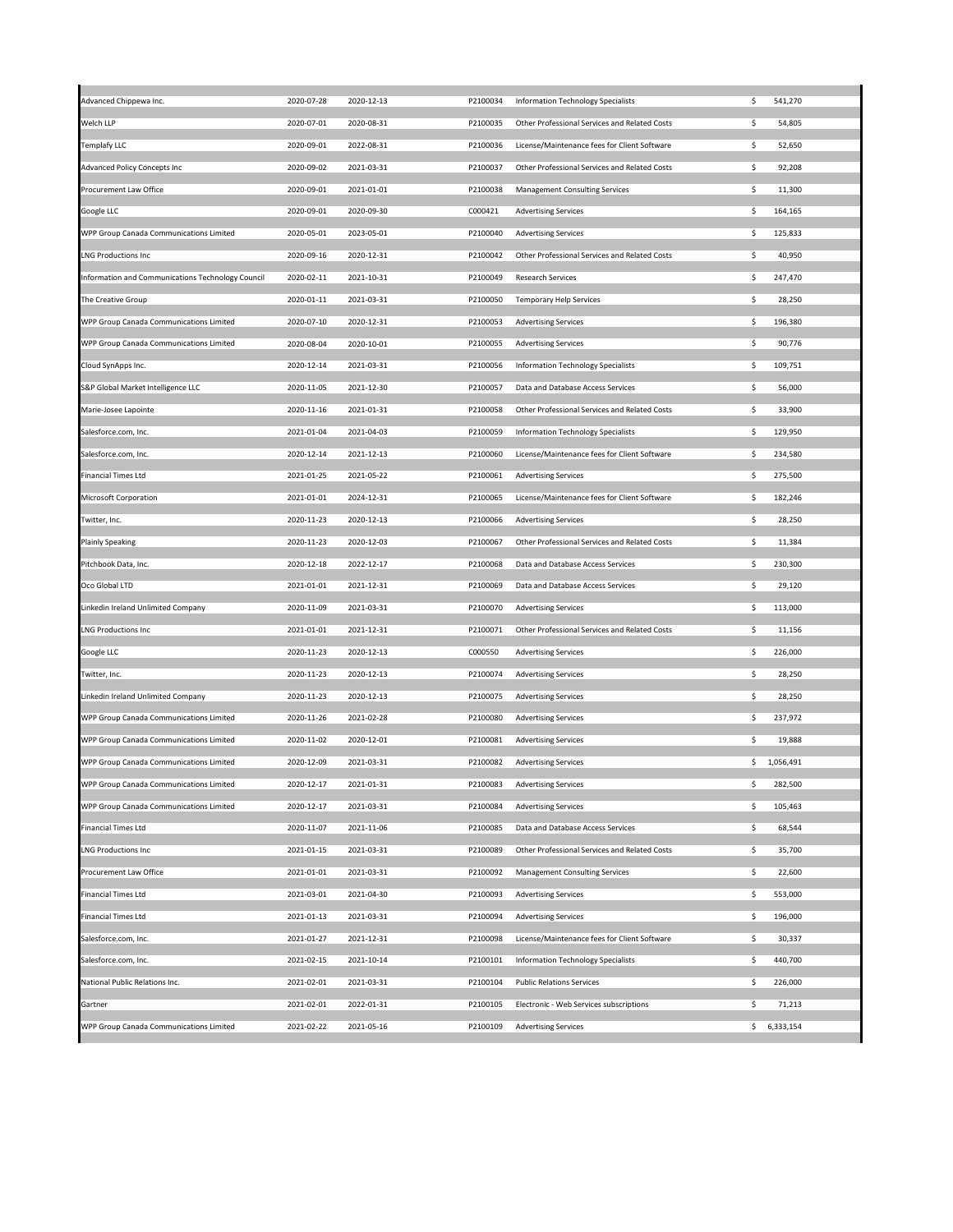| Advanced Chippewa Inc.                            | 2020-07-28 | 2020-12-13 | P2100034 | Information Technology Specialists            | \$. | 541,270     |
|---------------------------------------------------|------------|------------|----------|-----------------------------------------------|-----|-------------|
| Welch LLP                                         | 2020-07-01 | 2020-08-31 | P2100035 | Other Professional Services and Related Costs | \$  | 54,805      |
| <b>Templafy LLC</b>                               | 2020-09-01 | 2022-08-31 | P2100036 | License/Maintenance fees for Client Software  | \$  | 52,650      |
| <b>Advanced Policy Concepts Inc</b>               | 2020-09-02 | 2021-03-31 | P2100037 | Other Professional Services and Related Costs | \$  | 92,208      |
| Procurement Law Office                            | 2020-09-01 | 2021-01-01 | P2100038 | <b>Management Consulting Services</b>         | \$  | 11,300      |
| Google LLC                                        | 2020-09-01 | 2020-09-30 | C000421  | <b>Advertising Services</b>                   | \$  | 164,165     |
| WPP Group Canada Communications Limited           | 2020-05-01 | 2023-05-01 | P2100040 | <b>Advertising Services</b>                   | \$  | 125,833     |
| <b>LNG Productions Inc</b>                        | 2020-09-16 | 2020-12-31 | P2100042 | Other Professional Services and Related Costs | \$  | 40,950      |
| Information and Communications Technology Council | 2020-02-11 | 2021-10-31 | P2100049 | <b>Research Services</b>                      | \$  | 247,470     |
| The Creative Group                                | 2020-01-11 | 2021-03-31 | P2100050 | <b>Temporary Help Services</b>                | \$  | 28,250      |
| WPP Group Canada Communications Limited           | 2020-07-10 | 2020-12-31 | P2100053 | <b>Advertising Services</b>                   | \$  | 196,380     |
| WPP Group Canada Communications Limited           | 2020-08-04 | 2020-10-01 | P2100055 | <b>Advertising Services</b>                   | \$  | 90,776      |
| Cloud SynApps Inc.                                | 2020-12-14 | 2021-03-31 | P2100056 | <b>Information Technology Specialists</b>     | \$  | 109,751     |
| S&P Global Market Intelligence LLC                | 2020-11-05 | 2021-12-30 | P2100057 | Data and Database Access Services             | \$  | 56,000      |
| Marie-Josee Lapointe                              | 2020-11-16 | 2021-01-31 | P2100058 | Other Professional Services and Related Costs | \$  | 33,900      |
| Salesforce.com, Inc.                              | 2021-01-04 | 2021-04-03 | P2100059 | Information Technology Specialists            | \$  | 129,950     |
|                                                   |            | 2021-12-13 |          | License/Maintenance fees for Client Software  | \$  |             |
| Salesforce.com, Inc.                              | 2020-12-14 |            | P2100060 |                                               |     | 234,580     |
| <b>Financial Times Ltd</b>                        | 2021-01-25 | 2021-05-22 | P2100061 | <b>Advertising Services</b>                   | \$  | 275,500     |
| Microsoft Corporation                             | 2021-01-01 | 2024-12-31 | P2100065 | License/Maintenance fees for Client Software  | \$  | 182,246     |
| Twitter, Inc.                                     | 2020-11-23 | 2020-12-13 | P2100066 | <b>Advertising Services</b>                   | \$  | 28,250      |
| <b>Plainly Speaking</b>                           | 2020-11-23 | 2020-12-03 | P2100067 | Other Professional Services and Related Costs | \$  | 11,384      |
| Pitchbook Data, Inc.                              | 2020-12-18 | 2022-12-17 | P2100068 | Data and Database Access Services             | \$  | 230,300     |
| Oco Global LTD                                    | 2021-01-01 | 2021-12-31 | P2100069 | Data and Database Access Services             | \$  | 29,120      |
| Linkedin Ireland Unlimited Company                | 2020-11-09 | 2021-03-31 | P2100070 | <b>Advertising Services</b>                   | \$. | 113,000     |
| <b>LNG Productions Inc</b>                        | 2021-01-01 | 2021-12-31 | P2100071 | Other Professional Services and Related Costs | \$  | 11,156      |
| Google LLC                                        | 2020-11-23 | 2020-12-13 | C000550  | <b>Advertising Services</b>                   | \$  | 226,000     |
| Twitter, Inc.                                     | 2020-11-23 | 2020-12-13 | P2100074 | <b>Advertising Services</b>                   | \$  | 28,250      |
| Linkedin Ireland Unlimited Company                | 2020-11-23 | 2020-12-13 | P2100075 | <b>Advertising Services</b>                   | \$  | 28,250      |
| WPP Group Canada Communications Limited           | 2020-11-26 | 2021-02-28 | P2100080 | <b>Advertising Services</b>                   | \$  | 237,972     |
| WPP Group Canada Communications Limited           | 2020-11-02 | 2020-12-01 | P2100081 | <b>Advertising Services</b>                   | \$  | 19,888      |
| WPP Group Canada Communications Limited           | 2020-12-09 | 2021-03-31 | P2100082 | <b>Advertising Services</b>                   |     | \$1,056,491 |
| WPP Group Canada Communications Limited           | 2020-12-17 | 2021-01-31 | P2100083 | <b>Advertising Services</b>                   | \$  | 282,500     |
| WPP Group Canada Communications Limited           | 2020-12-17 | 2021-03-31 | P2100084 | <b>Advertising Services</b>                   | \$  | 105,463     |
| <b>Financial Times Ltd</b>                        | 2020-11-07 | 2021-11-06 | P2100085 | Data and Database Access Services             | \$  | 68,544      |
| <b>LNG Productions Inc</b>                        | 2021-01-15 | 2021-03-31 | P2100089 | Other Professional Services and Related Costs | \$  | 35,700      |
| Procurement Law Office                            | 2021-01-01 | 2021-03-31 | P2100092 | <b>Management Consulting Services</b>         | \$  | 22,600      |
|                                                   |            |            |          |                                               |     |             |
| <b>Financial Times Ltd</b>                        | 2021-03-01 | 2021-04-30 | P2100093 | <b>Advertising Services</b>                   | \$  | 553,000     |
| <b>Financial Times Ltd</b>                        | 2021-01-13 | 2021-03-31 | P2100094 | <b>Advertising Services</b>                   | \$  | 196,000     |
| Salesforce.com, Inc.                              | 2021-01-27 | 2021-12-31 | P2100098 | License/Maintenance fees for Client Software  | \$  | 30,337      |
| Salesforce.com, Inc.                              | 2021-02-15 | 2021-10-14 | P2100101 | Information Technology Specialists            | \$. | 440,700     |
| National Public Relations Inc.                    | 2021-02-01 | 2021-03-31 | P2100104 | <b>Public Relations Services</b>              | \$  | 226,000     |
| Gartner                                           | 2021-02-01 | 2022-01-31 | P2100105 | Electronic - Web Services subscriptions       | \$  | 71,213      |
| WPP Group Canada Communications Limited           | 2021-02-22 | 2021-05-16 | P2100109 | <b>Advertising Services</b>                   |     | \$6,333,154 |